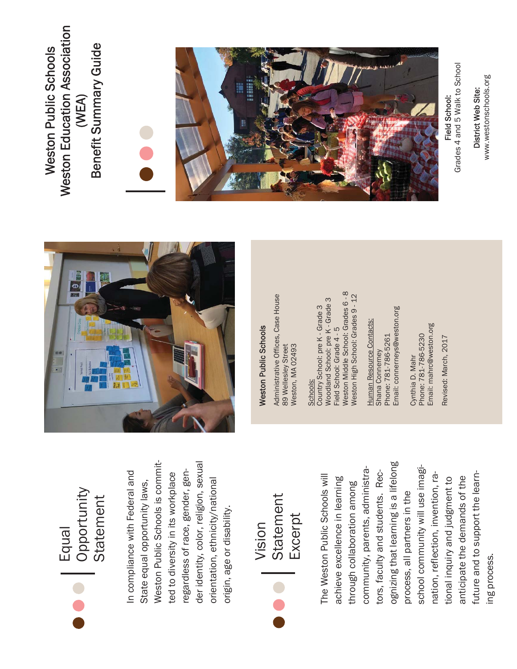Equal<br>Opportunity Opportunity **Statement** Statement

der identity, color, religion, sexual Weston Public Schools is commit-Weston Public Schools is commitder identity, color, religion, sexual In compliance with Federal and regardless of race, gender, gen-In compliance with Federal and regardless of race, gender, gented to diversity in its workplace ted to diversity in its workplace orientation, ethnicity/national orientation, ethnicity/national State equal opportunity laws, State equal opportunity laws, origin, age or disability. origin, age or disability.



ognizing that learning is a lifelong ognizing that learning is a lifelong school community will use imagischool community will use imagicommunity, parents, administracommunity, parents, administrators, faculty and students. Rectors, faculty and students. Recfuture and to support the learn-The Weston Public Schools will future and to support the learnnation, reflection, invention, ra-The Weston Public Schools will nation, reflection, invention, raanticipate the demands of the anticipate the demands of the achieve excellence in learning achieve excellence in learning tional inquiry and judgment to tional inquiry and judgment to through collaboration among through collaboration among process, all partners in the process, all partners in the ing process. ing process.



## **Weston Public Schools**

Administrative Offices, Case House Administrative Offices, Case House 89 Wellesley Street<br>Weston, MA 02493 89 Wellesley Street Weston, MA 02493

Weston Middle School: Grades 6 - 8 Weston High School: Grades 9 - 12 **Noodland School: pre K - Grade 3** Woodland School: pre K - Grade 3 Country School: pre K - Grade 3 Country School: pre K - Grade 3 Field School: Grade 4 - 5 Field School: Grade 4 - 5 Schools: Schools:

Email: connerneys@weston.org Email: connerneys@weston.org Human Resource Contacts: Human Resource Contacts: Phone: 781-786-5261 Phone: 781-786-5261 Shana Connerney Shana Connerney

Email: mahrc@weston.org Email: mahrc@weston.org Cynthia D. Mahr<br>Phone: 781-786-5230 Phone: 781-786-5230 Cynthia D. Mahr

Revised: March, 2017

Revised: March, 2017

Weston Education Association **Weston Education Association** Benefit Summary Guide Benefit Summary Guide Weston Public Schools **Weston Public Schools** (WEA)





Grades 4 and 5 Walk to School Field School:<br>Grades 4 and 5 Walk to School Field School:

www.westonschools.org www.westonschools.org District Web Site: District Web Site: